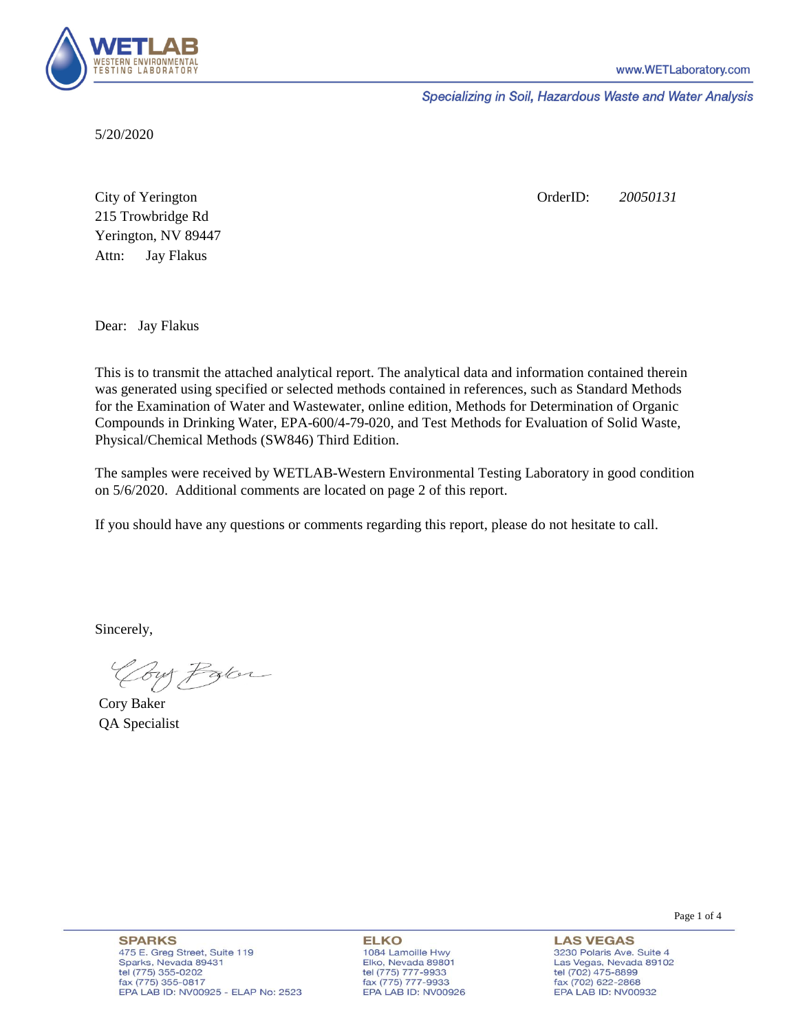

Specializing in Soil, Hazardous Waste and Water Analysis

5/20/2020

Attn: City of Yerington 215 Trowbridge Rd Jay Flakus Yerington, NV 89447 OrderID: *20050131*

Dear: Jay Flakus

This is to transmit the attached analytical report. The analytical data and information contained therein was generated using specified or selected methods contained in references, such as Standard Methods for the Examination of Water and Wastewater, online edition, Methods for Determination of Organic Compounds in Drinking Water, EPA-600/4-79-020, and Test Methods for Evaluation of Solid Waste, Physical/Chemical Methods (SW846) Third Edition.

The samples were received by WETLAB-Western Environmental Testing Laboratory in good condition on 5/6/2020. Additional comments are located on page 2 of this report.

If you should have any questions or comments regarding this report, please do not hesitate to call.

Sincerely,

Coy Palor

Cory Baker QA Specialist

**ELKO** 1084 Lamoille Hwy Elko, Nevada 89801 tel (775) 777-9933<br>fax (775) 777-9933 EPA LAB ID: NV00926

**LAS VEGAS** 3230 Polaris Ave. Suite 4 Las Vegas, Nevada 89102 tel (702) 475-8899 fax (702) 622-2868 EPA LAB ID: NV00932

Page 1 of 4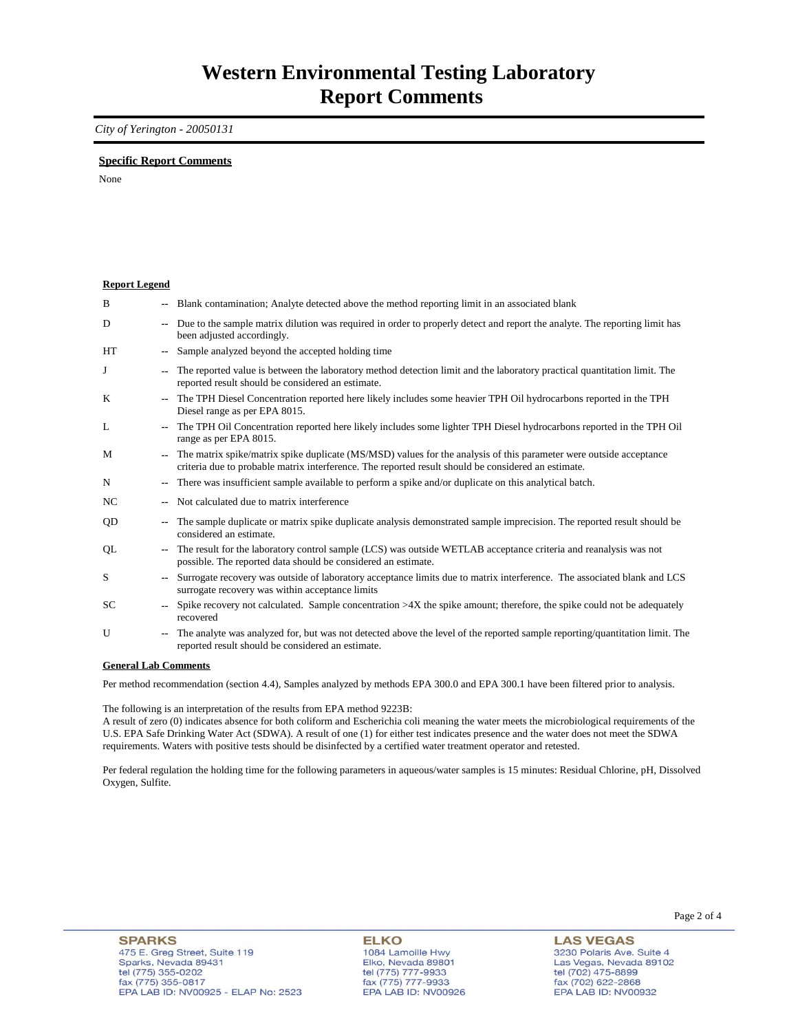### *City of Yerington - 20050131*

### **Specific Report Comments**

None

**Report Legend**

| B                  |                          | -- Blank contamination; Analyte detected above the method reporting limit in an associated blank                                                                                                                          |
|--------------------|--------------------------|---------------------------------------------------------------------------------------------------------------------------------------------------------------------------------------------------------------------------|
| D                  | $\overline{\phantom{a}}$ | Due to the sample matrix dilution was required in order to properly detect and report the analyte. The reporting limit has<br>been adjusted accordingly.                                                                  |
| HT                 | --                       | Sample analyzed beyond the accepted holding time                                                                                                                                                                          |
| J                  | ۰.                       | The reported value is between the laboratory method detection limit and the laboratory practical quantitation limit. The<br>reported result should be considered an estimate.                                             |
| K                  | $\overline{\phantom{a}}$ | The TPH Diesel Concentration reported here likely includes some heavier TPH Oil hydrocarbons reported in the TPH<br>Diesel range as per EPA 8015.                                                                         |
| L                  | ۰.                       | The TPH Oil Concentration reported here likely includes some lighter TPH Diesel hydrocarbons reported in the TPH Oil<br>range as per EPA 8015.                                                                            |
| M                  | $\overline{\phantom{a}}$ | The matrix spike/matrix spike duplicate (MS/MSD) values for the analysis of this parameter were outside acceptance<br>criteria due to probable matrix interference. The reported result should be considered an estimate. |
| N                  | ۰.                       | There was insufficient sample available to perform a spike and/or duplicate on this analytical batch.                                                                                                                     |
| NC                 | --                       | Not calculated due to matrix interference                                                                                                                                                                                 |
| QD                 | ۰.                       | The sample duplicate or matrix spike duplicate analysis demonstrated sample imprecision. The reported result should be<br>considered an estimate.                                                                         |
| QL                 | ۰.                       | The result for the laboratory control sample (LCS) was outside WETLAB acceptance criteria and reanalysis was not<br>possible. The reported data should be considered an estimate.                                         |
| S                  | $-$                      | Surrogate recovery was outside of laboratory acceptance limits due to matrix interference. The associated blank and LCS<br>surrogate recovery was within acceptance limits                                                |
| <b>SC</b>          | $-1$                     | Spike recovery not calculated. Sample concentration $>4X$ the spike amount; therefore, the spike could not be adequately<br>recovered                                                                                     |
| U                  | $\overline{\phantom{a}}$ | The analyte was analyzed for, but was not detected above the level of the reported sample reporting/quantitation limit. The<br>reported result should be considered an estimate.                                          |
| $A = 11.4 A = 1.4$ |                          |                                                                                                                                                                                                                           |

#### **General Lab Comments**

Per method recommendation (section 4.4), Samples analyzed by methods EPA 300.0 and EPA 300.1 have been filtered prior to analysis.

The following is an interpretation of the results from EPA method 9223B:

A result of zero (0) indicates absence for both coliform and Escherichia coli meaning the water meets the microbiological requirements of the U.S. EPA Safe Drinking Water Act (SDWA). A result of one (1) for either test indicates presence and the water does not meet the SDWA requirements. Waters with positive tests should be disinfected by a certified water treatment operator and retested.

Per federal regulation the holding time for the following parameters in aqueous/water samples is 15 minutes: Residual Chlorine, pH, Dissolved Oxygen, Sulfite.

**ELKO** 1084 Lamoille Hwy Elko, Nevada 89801 tel (775) 777-9933<br>fax (775) 777-9933 EPA LAB ID: NV00926

**LAS VEGAS** 3230 Polaris Ave. Suite 4 Las Vegas, Nevada 89102 tel (702) 475-8899<br>fax (702) 622-2868 EPA LAB ID: NV00932

Page 2 of 4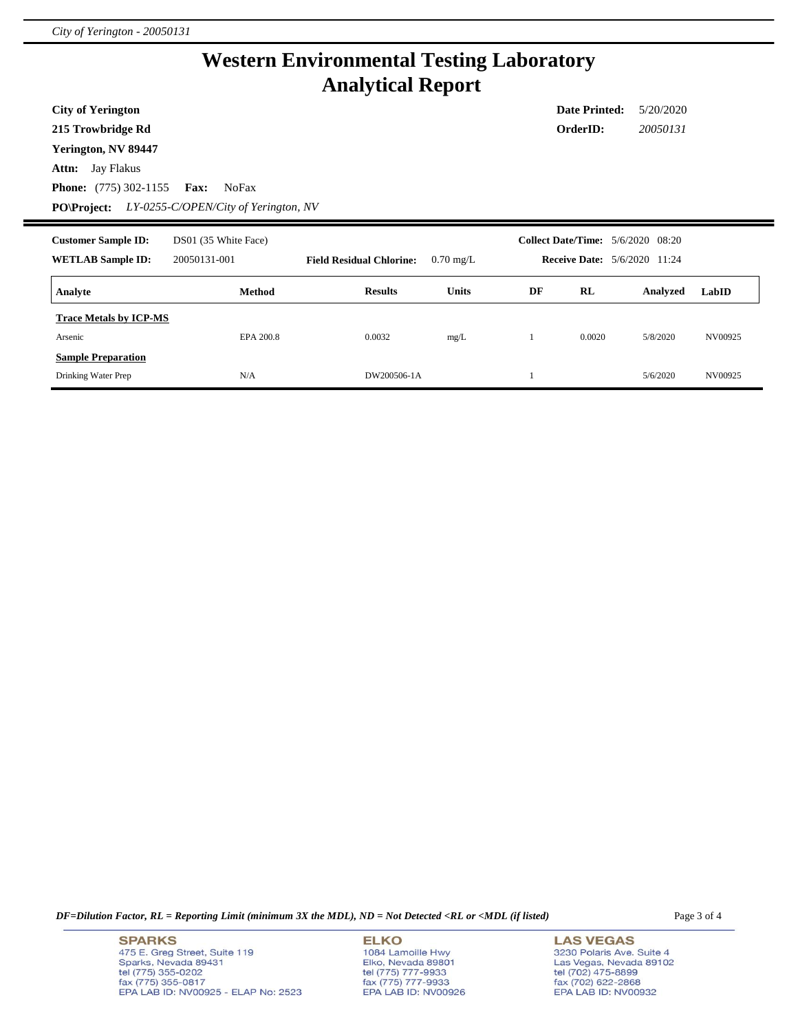## **Western Environmental Testing Laboratory Analytical Report**

**City of Yerington**

**215 Trowbridge Rd**

**Yerington, NV 89447**

**Attn:** Jay Flakus

**Phone:** (775) 302-1155 **Fax:** NoFax

**PO\Project:** *LY-0255-C/OPEN/City of Yerington, NV*

| <b>Customer Sample ID:</b><br><b>WETLAB Sample ID:</b> | DS01 (35 White Face)<br>20050131-001 | <b>Field Residual Chlorine:</b> | $0.70 \text{ mg/L}$ |    |        | <b>Collect Date/Time:</b> 5/6/2020 08:20<br><b>Receive Date:</b> 5/6/2020 11:24 |         |
|--------------------------------------------------------|--------------------------------------|---------------------------------|---------------------|----|--------|---------------------------------------------------------------------------------|---------|
| Analyte                                                | Method                               | <b>Results</b>                  | <b>Units</b>        | DF | RL     | Analyzed                                                                        | LabID   |
| <b>Trace Metals by ICP-MS</b>                          |                                      |                                 |                     |    |        |                                                                                 |         |
| Arsenic<br><b>Sample Preparation</b>                   | EPA 200.8                            | 0.0032                          | mg/L                |    | 0.0020 | 5/8/2020                                                                        | NV00925 |
| Drinking Water Prep                                    | N/A                                  | DW200506-1A                     |                     |    |        | 5/6/2020                                                                        | NV00925 |

*DF=Dilution Factor, RL = Reporting Limit (minimum 3X the MDL), ND = Not Detected <RL or <MDL (if listed)* Page 3 of 4

**SPARKS** 475 E. Greg Street, Suite 119 Sparks, Nevada 89431 tel (775) 355-0202<br>fax (775) 355-0817 EPA LAB ID: NV00925 - ELAP No: 2523

**ELKO** 1084 Lamoille Hwy Elko, Nevada 89801<br>tel (775) 777-9933<br>fax (775) 777-9933 EPA LAB ID: NV00926 **LAS VEGAS** 3230 Polaris Ave. Suite 4 Las Vegas, Nevada 89102 tel (702) 475-8899<br>fax (702) 622-2868 EPA LAB ID: NV00932

**Date Printed:** 5/20/2020 **OrderID:** *20050131*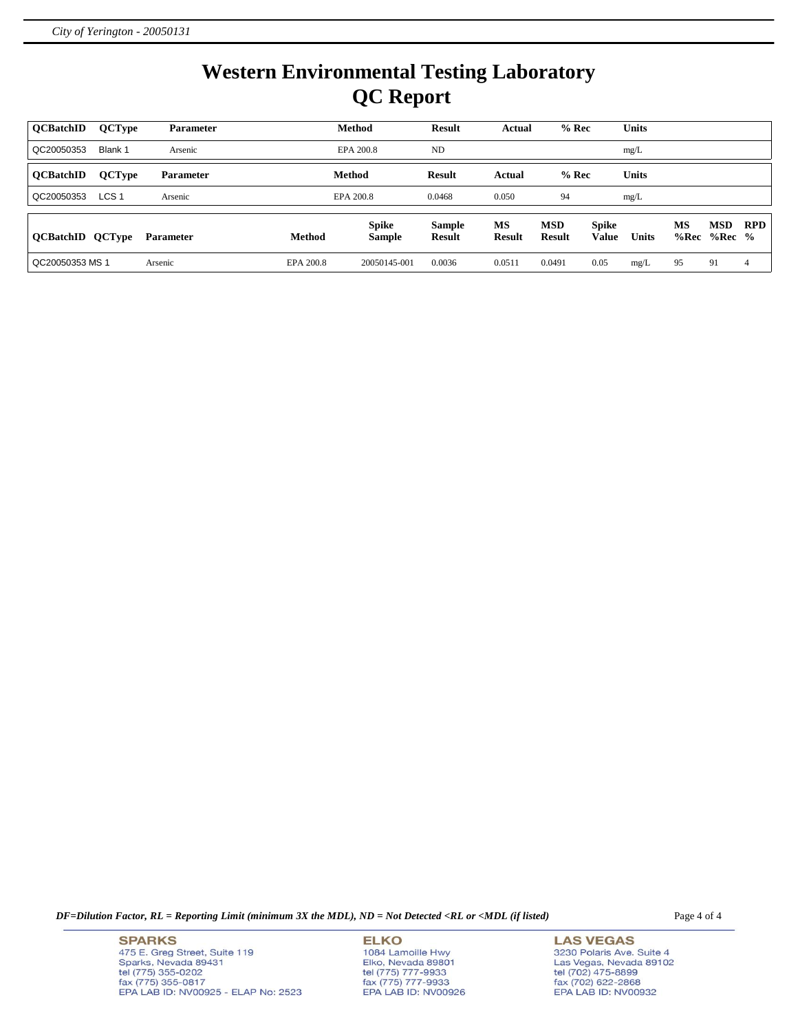# **Western Environmental Testing Laboratory QC Report**

| <b>OCBatchID</b>        | <b>QCType</b>    | <b>Parameter</b> |           | <b>Method</b>                 | <b>Result</b>                  | Actual              | $%$ Rec                     |                              | <b>Units</b> |            |                 |                |
|-------------------------|------------------|------------------|-----------|-------------------------------|--------------------------------|---------------------|-----------------------------|------------------------------|--------------|------------|-----------------|----------------|
| QC20050353              | Blank 1          | Arsenic          |           | EPA 200.8                     | ND                             |                     |                             |                              | mg/L         |            |                 |                |
| <b>OCBatchID</b>        | <b>QCType</b>    | <b>Parameter</b> |           | Method                        | <b>Result</b>                  | Actual              | $%$ Rec                     |                              | Units        |            |                 |                |
| QC20050353              | LCS <sub>1</sub> | Arsenic          |           | EPA 200.8                     | 0.0468                         | 0.050               | 94                          |                              | mg/L         |            |                 |                |
| <b>QCBatchID QCType</b> |                  | <b>Parameter</b> | Method    | <b>Spike</b><br><b>Sample</b> | <b>Sample</b><br><b>Result</b> | MS<br><b>Result</b> | <b>MSD</b><br><b>Result</b> | <b>Spike</b><br><b>Value</b> | <b>Units</b> | MS<br>%Rec | MSD<br>$%Rec$ % | <b>RPD</b>     |
| QC20050353 MS 1         |                  | Arsenic          | EPA 200.8 | 20050145-001                  | 0.0036                         | 0.0511              | 0.0491                      | 0.05                         | mg/L         | 95         | 91              | $\overline{4}$ |

*DF=Dilution Factor, RL = Reporting Limit (minimum 3X the MDL), ND = Not Detected <RL or <MDL (if listed)* Page 4 of 4

**SPARKS** 475 E. Greg Street, Suite 119 Sparks, Nevada 89431<br>tel (775) 355-0202<br>fax (775) 355-0817 EPA LAB ID: NV00925 - ELAP No: 2523 **ELKO** 1084 Lamoille Hwy Elko, Nevada 89801<br>tel (775) 777-9933<br>fax (775) 777-9933 EPA LAB ID: NV00926

**LAS VEGAS** 3230 Polaris Ave. Suite 4 Las Vegas, Nevada 89102<br>tel (702) 475-8899<br>fax (702) 622-2868<br>EPA LAB ID: NV00932